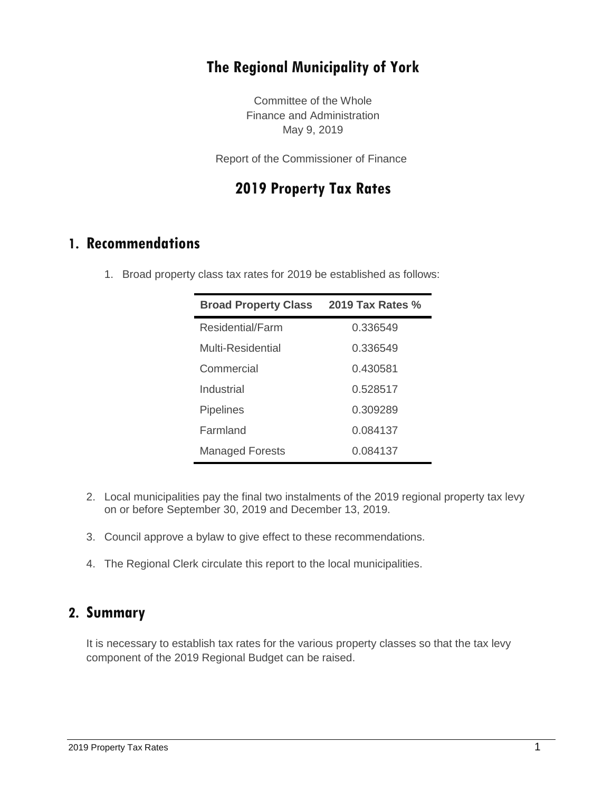# **The Regional Municipality of York**

Committee of the Whole Finance and Administration May 9, 2019

Report of the Commissioner of Finance

### **2019 Property Tax Rates**

### **1. Recommendations**

1. Broad property class tax rates for 2019 be established as follows:

| <b>Broad Property Class</b> | <b>2019 Tax Rates %</b> |
|-----------------------------|-------------------------|
| Residential/Farm            | 0.336549                |
| Multi-Residential           | 0.336549                |
| Commercial                  | 0.430581                |
| Industrial                  | 0.528517                |
| <b>Pipelines</b>            | 0.309289                |
| Farmland                    | 0.084137                |
| <b>Managed Forests</b>      | 0.084137                |

- 2. Local municipalities pay the final two instalments of the 2019 regional property tax levy on or before September 30, 2019 and December 13, 2019.
- 3. Council approve a bylaw to give effect to these recommendations.
- 4. The Regional Clerk circulate this report to the local municipalities.

### **2. Summary**

It is necessary to establish tax rates for the various property classes so that the tax levy component of the 2019 Regional Budget can be raised.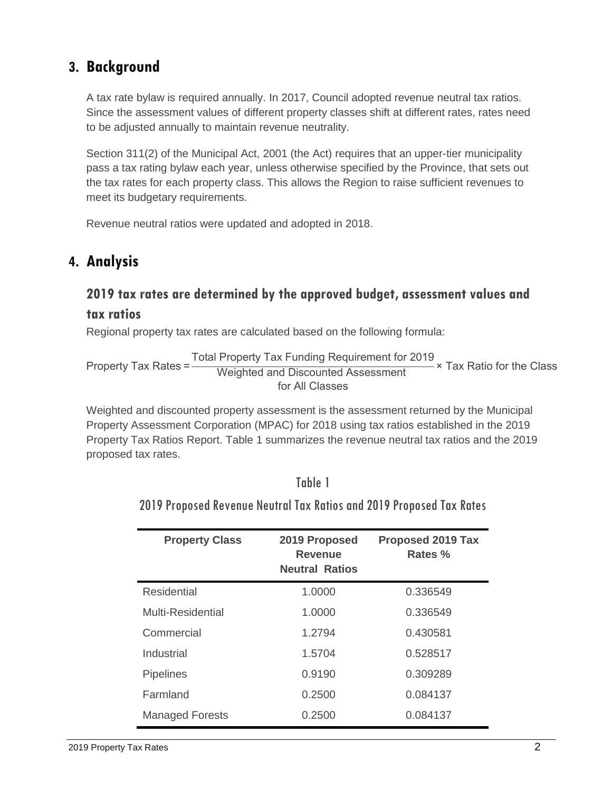# **3. Background**

A tax rate bylaw is required annually. In 2017, Council adopted revenue neutral tax ratios. Since the assessment values of different property classes shift at different rates, rates need to be adjusted annually to maintain revenue neutrality.

Section 311(2) of the Municipal Act, 2001 (the Act) requires that an upper-tier municipality pass a tax rating bylaw each year, unless otherwise specified by the Province, that sets out the tax rates for each property class. This allows the Region to raise sufficient revenues to meet its budgetary requirements.

Revenue neutral ratios were updated and adopted in 2018.

### **4. Analysis**

### **2019 tax rates are determined by the approved budget, assessment values and tax ratios**

Regional property tax rates are calculated based on the following formula:

Property Tax Rates Total Property Tax Funding Requirement for 2019 Weighted and Discounted Assessment for All Classes × Tax Ratio for the Class

Weighted and discounted property assessment is the assessment returned by the Municipal Property Assessment Corporation (MPAC) for 2018 using tax ratios established in the 2019 Property Tax Ratios Report. Table 1 summarizes the revenue neutral tax ratios and the 2019 proposed tax rates.

|--|--|

2019 Proposed Revenue Neutral Tax Ratios and 2019 Proposed Tax Rates

| <b>Property Class</b>  | 2019 Proposed<br>Revenue<br><b>Neutral Ratios</b> | <b>Proposed 2019 Tax</b><br>Rates % |
|------------------------|---------------------------------------------------|-------------------------------------|
| <b>Residential</b>     | 1.0000                                            | 0.336549                            |
| Multi-Residential      | 1.0000                                            | 0.336549                            |
| Commercial             | 1.2794                                            | 0.430581                            |
| Industrial             | 1.5704                                            | 0.528517                            |
| <b>Pipelines</b>       | 0.9190                                            | 0.309289                            |
| Farmland               | 0.2500                                            | 0.084137                            |
| <b>Managed Forests</b> | 0.2500                                            | 0.084137                            |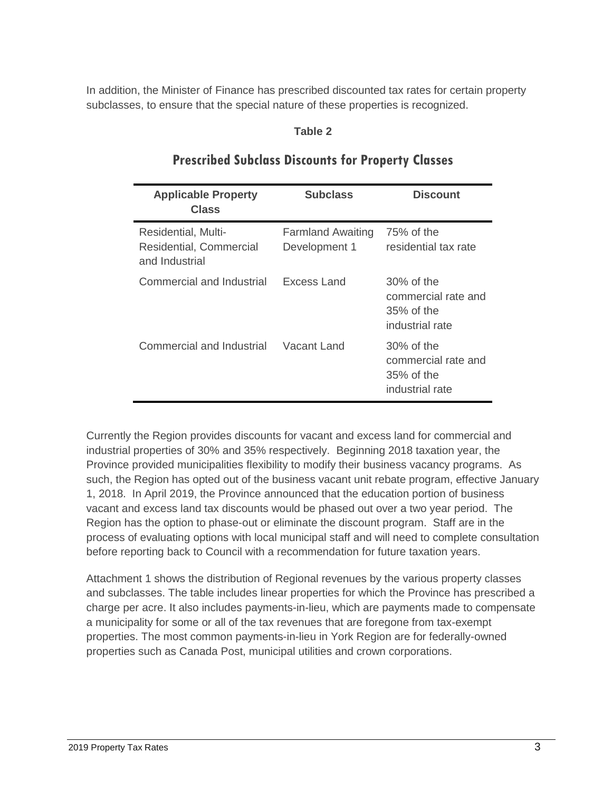In addition, the Minister of Finance has prescribed discounted tax rates for certain property subclasses, to ensure that the special nature of these properties is recognized.

#### **Table 2**

| <b>Applicable Property</b><br><b>Class</b>                       | <b>Subclass</b>                           | <b>Discount</b>                                                          |
|------------------------------------------------------------------|-------------------------------------------|--------------------------------------------------------------------------|
| Residential, Multi-<br>Residential, Commercial<br>and Industrial | <b>Farmland Awaiting</b><br>Development 1 | 75% of the<br>residential tax rate                                       |
| Commercial and Industrial                                        | Excess Land                               | $30\%$ of the<br>commercial rate and<br>$35\%$ of the<br>industrial rate |
| Commercial and Industrial                                        | Vacant Land                               | $30\%$ of the<br>commercial rate and<br>$35\%$ of the<br>industrial rate |

#### **Prescribed Subclass Discounts for Property Classes**

Currently the Region provides discounts for vacant and excess land for commercial and industrial properties of 30% and 35% respectively. Beginning 2018 taxation year, the Province provided municipalities flexibility to modify their business vacancy programs. As such, the Region has opted out of the business vacant unit rebate program, effective January 1, 2018. In April 2019, the Province announced that the education portion of business vacant and excess land tax discounts would be phased out over a two year period. The Region has the option to phase-out or eliminate the discount program. Staff are in the process of evaluating options with local municipal staff and will need to complete consultation before reporting back to Council with a recommendation for future taxation years.

Attachment 1 shows the distribution of Regional revenues by the various property classes and subclasses. The table includes linear properties for which the Province has prescribed a charge per acre. It also includes payments-in-lieu, which are payments made to compensate a municipality for some or all of the tax revenues that are foregone from tax-exempt properties. The most common payments-in-lieu in York Region are for federally-owned properties such as Canada Post, municipal utilities and crown corporations.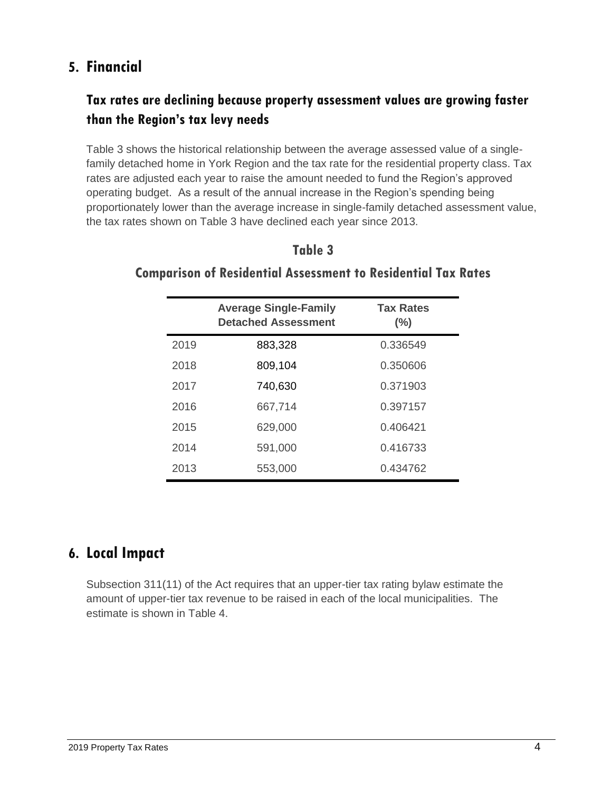# **5. Financial**

# **Tax rates are declining because property assessment values are growing faster than the Region's tax levy needs**

Table 3 shows the historical relationship between the average assessed value of a singlefamily detached home in York Region and the tax rate for the residential property class. Tax rates are adjusted each year to raise the amount needed to fund the Region's approved operating budget. As a result of the annual increase in the Region's spending being proportionately lower than the average increase in single-family detached assessment value, the tax rates shown on Table 3 have declined each year since 2013.

|      | <b>Average Single-Family</b><br><b>Detached Assessment</b> | <b>Tax Rates</b><br>$(\%)$ |
|------|------------------------------------------------------------|----------------------------|
| 2019 | 883,328                                                    | 0.336549                   |
| 2018 | 809,104                                                    | 0.350606                   |
| 2017 | 740,630                                                    | 0.371903                   |
| 2016 | 667,714                                                    | 0.397157                   |
| 2015 | 629,000                                                    | 0.406421                   |
| 2014 | 591,000                                                    | 0.416733                   |
| 2013 | 553,000                                                    | 0.434762                   |

### **Table 3**

### **Comparison of Residential Assessment to Residential Tax Rates**

# **6. Local Impact**

Subsection 311(11) of the Act requires that an upper-tier tax rating bylaw estimate the amount of upper-tier tax revenue to be raised in each of the local municipalities. The estimate is shown in Table 4.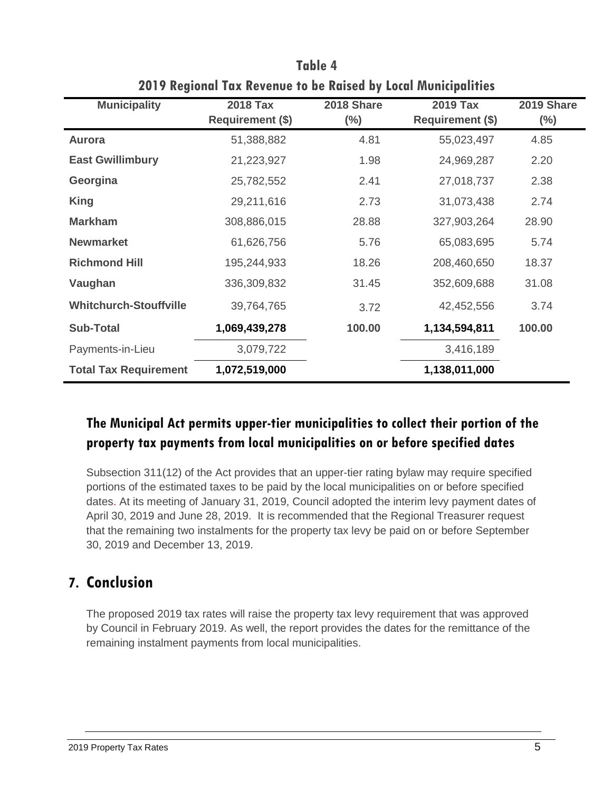| <b>Municipality</b>           | <b>2018 Tax</b>         | 2018 Share | <b>2019 Tax</b>         | 2019 Share |  |
|-------------------------------|-------------------------|------------|-------------------------|------------|--|
|                               | <b>Requirement (\$)</b> | $(\% )$    | <b>Requirement (\$)</b> | $(\%)$     |  |
| <b>Aurora</b>                 | 51,388,882              | 4.81       | 55,023,497              | 4.85       |  |
| <b>East Gwillimbury</b>       | 21,223,927              | 1.98       | 24,969,287              | 2.20       |  |
| Georgina                      | 25,782,552              | 2.41       | 27,018,737              | 2.38       |  |
| <b>King</b>                   | 29,211,616              | 2.73       | 31,073,438              | 2.74       |  |
| <b>Markham</b>                | 308,886,015             | 28.88      | 327,903,264             | 28.90      |  |
| <b>Newmarket</b>              | 61,626,756              | 5.76       | 65,083,695              | 5.74       |  |
| <b>Richmond Hill</b>          | 195,244,933             | 18.26      | 208,460,650             | 18.37      |  |
| Vaughan                       | 336,309,832             | 31.45      | 352,609,688             | 31.08      |  |
| <b>Whitchurch-Stouffville</b> | 39,764,765              | 3.72       | 42,452,556              | 3.74       |  |
| <b>Sub-Total</b>              | 1,069,439,278           | 100.00     | 1,134,594,811           | 100.00     |  |
| Payments-in-Lieu              | 3,079,722               |            | 3,416,189               |            |  |
| <b>Total Tax Requirement</b>  | 1,072,519,000           |            | 1,138,011,000           |            |  |

**Table 4 2019 Regional Tax Revenue to be Raised by Local Municipalities**

# **The Municipal Act permits upper-tier municipalities to collect their portion of the property tax payments from local municipalities on or before specified dates**

Subsection 311(12) of the Act provides that an upper-tier rating bylaw may require specified portions of the estimated taxes to be paid by the local municipalities on or before specified dates. At its meeting of January 31, 2019, Council adopted the interim levy payment dates of April 30, 2019 and June 28, 2019. It is recommended that the Regional Treasurer request that the remaining two instalments for the property tax levy be paid on or before September 30, 2019 and December 13, 2019.

# **7. Conclusion**

The proposed 2019 tax rates will raise the property tax levy requirement that was approved by Council in February 2019. As well, the report provides the dates for the remittance of the remaining instalment payments from local municipalities.